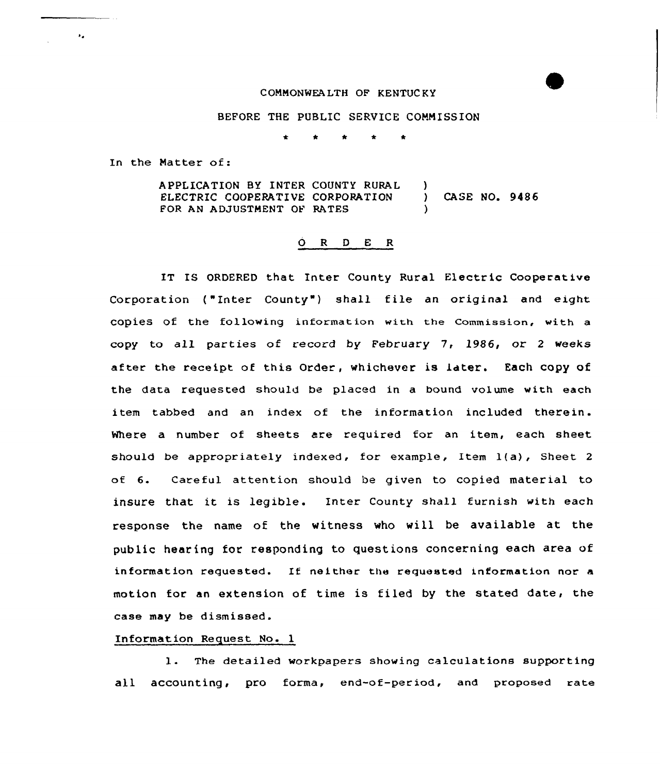### COMMONWEALTH OP KENTUCKY

### BEFORE THE PUBLIC SERVICE COMMISSION

In the Matter of:

 $\mathbf{z}$ 

APPLICATION BY INTER COUNTY RURAL )<br>ELECTRIC COOPERATIVE CORPORATION ) ELECTRIC COOPERATIVE CORPORATION ) CASE NO. 9486 FOR AN ADJUSTMENT OF RATES

### 0 <sup>R</sup> <sup>D</sup> E <sup>R</sup>

IT IS ORDERED that Inter County Rural Electric Cooperative Corporation ("Inter County") shall file an original and eight copies of the following information with the commission, with a copy to all parties of record by February 7, 1986, or <sup>2</sup> weeks af ter the receipt of this Order, whichever is Later. Each copy of the data requested should be placed in a bound volume with each item tabbed and an index of the information included therein. Where a number of sheets are required for an item, each sheet should be appropriately indexed, for example, Item 1(a), Sheet <sup>2</sup> of 6. Careful attention should be given to copied material to insure that it is legible. Inter County shall furnish with each response the name of the witness who will be available at the public hearing for responding to questions concerning each area of information requested. If neither the requested information nor <sup>a</sup> motion for an extension of time is filed by the stated date, the case may be dismissed.

### Information Request No. 1

1. The detailed workpapers showing calculations supporting all accounting, pro forma, end-of-period, and proposed rate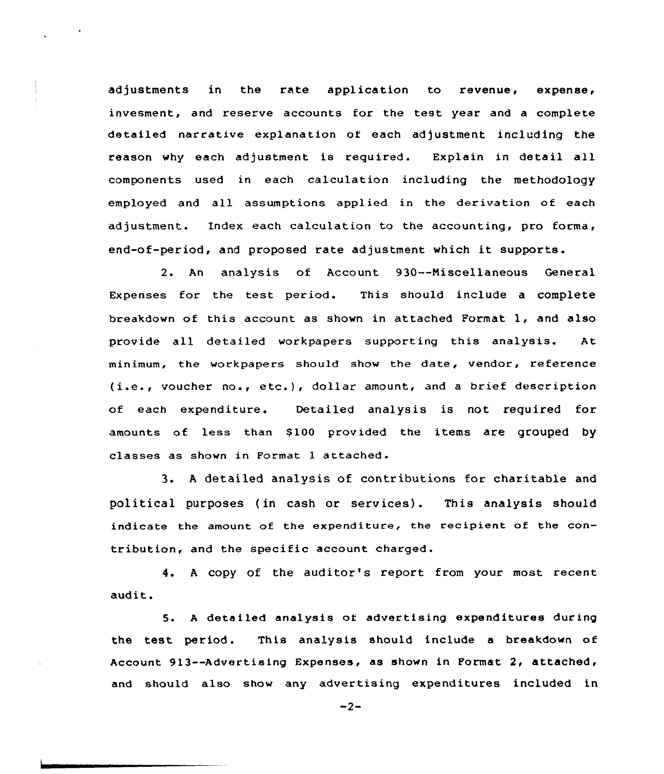adjustments in the rate application to revenue, expense, invesment, and reserve accounts for the test year and <sup>a</sup> complete detailed narrative explanation of each adjustment including the reason why each adjustment is required. Explain in detail all components used in each calculation including the methodology employed and all assumptions applied in the derivation of each adjustment. Index each calculation to the accounting, pro forma, end-of-period, and proposed rate adjustment which it supports.

2. An analysis of Account 930--Niscellaneous General Expenses for the test period. This should include <sup>a</sup> complete breakdown of this account as shown in attached Format l, and also provide all detailed workpapers supporting this analysis. At minimum, the workpapers should show the date, vendor, reference (i.e., voucher no., etc.), dollar amount, and <sup>a</sup> brief description of each expenditure. Detailed analysis is not required for amounts of less than \$100 provided the items are grouped by classes as shown in Format <sup>1</sup> attached.

3. <sup>A</sup> detailed analysis of contributions for charitable and political purposes (in cash or services). This analysis should indicate the amount of the expenditure, the recipient of the contribution, and the specific account charged.

4. <sup>A</sup> copy of the auditor's report from your most recent audit.

5. <sup>A</sup> detailed analysis of advertising expenditures during the test period. This analysis should include a breakdown of Account 913--Advertising Expenses, as shown in Format 2, attached, and should also show any advertising expenditures included in

 $-2-$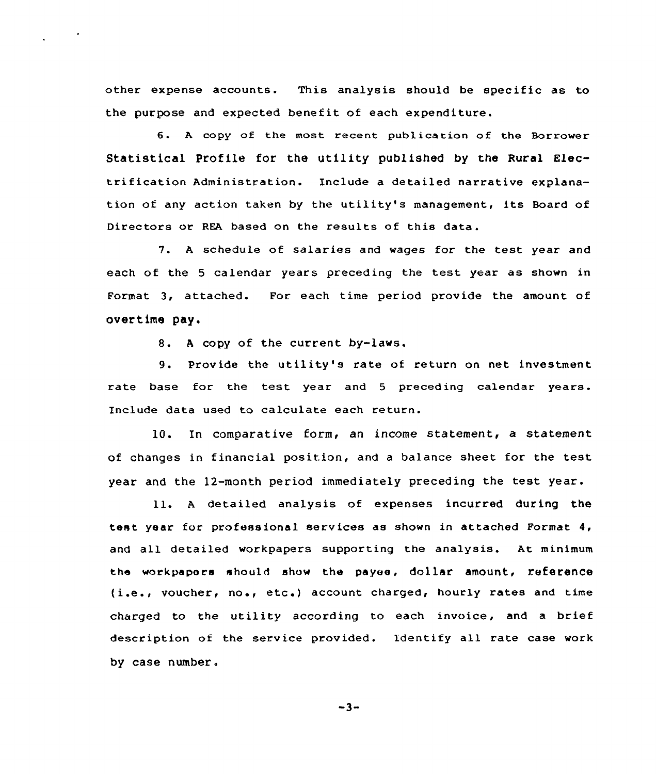other expense accounts. This analysis should be specific as to the purpose and expected benefit of each expenditure.

6. <sup>A</sup> copy of the most recent publication of the Borrower Statistical Profile for the utility published by the Rural Electrification Administration. Include a detailed narrative explanation of any action taken by the utility's management, its Board of Directors or REA based on the results of this data.

7. <sup>A</sup> schedule of salaries and wages for the test year and each of the <sup>5</sup> calendar years preceding the test year as shown in Format 3, attached. For each time period provide the amount of overtime pay.

8. <sup>A</sup> copy of the current by-laws.

9. Provide the utility's rate of return on net investment rate base for the test year and <sup>5</sup> preceding calendar years. Include data used to calculate each return.

10. In comparative form, an income statement, a statement of changes in financial position, and <sup>a</sup> balance sheet for the test year and the 12-month period immediately preceding the test year.

ll. <sup>A</sup> detailed analysis of expenses incurred during the test year for professional services as shown in attached Format 4, and all detailed workpapers supporting the analysis. At minimum the workpapors should show the payee, dollar amount, reference (i.e., voucher, no., etc.) account charged, hourly rates and time charged to the utility according to each invoice, and <sup>a</sup> brief description of the service provided. identify all rate case work by case number.

 $-3-$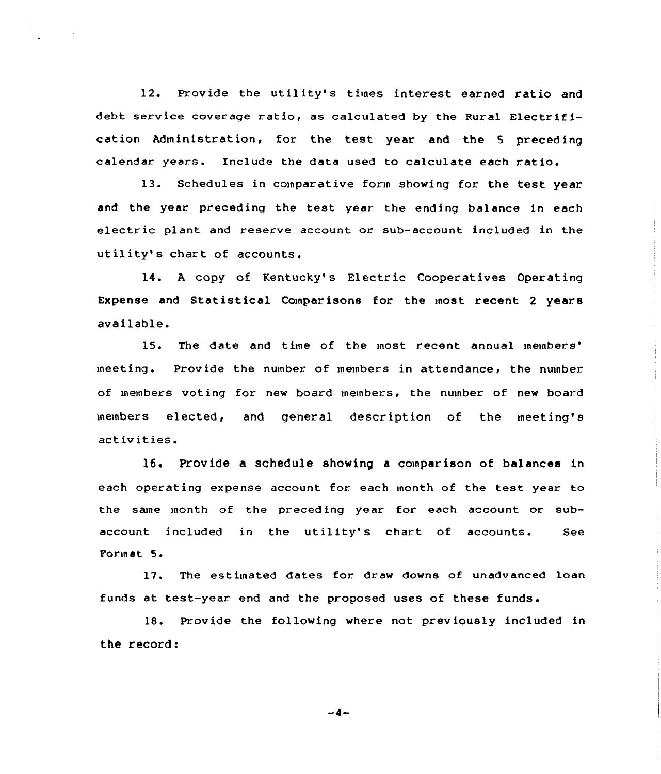12. Provide the utility's times interest earned ratio and debt service coverage ratio, as calculated by the Rural Electrification Administration, for the test year and the 5 preceding calendar years. Include the data used to calculate each ratio.

13. Schedules in comparative forin showing for the test year and the year preceding the test year the ending balance in each electric plant and reserve account or sub-account included in the utility's chart of accounts.

14. A copy of Kentucky's Electric Cooperatives Operating Expense and Statistical Comparisons for the most recent <sup>2</sup> years available.

15. The date and time of the most recent annual members' Provide the number of members in attendance, the number meeting. of members voting for new board meinbers, the number of new board members elected, and general description of the meeting's act iv it ies.

16. Provide a schedule showing a comparison of balances in each operating expense account for. each month of the test year to the sane inonth of the preced ing year for each account or subaccount included in the utility's chart of accounts. See Format 5.

17. The estimated dates for draw downs of unadvanced loan funds at test-year end and the proposed uses of these funds.

18. Provide the following where not previously included in the record:

-4-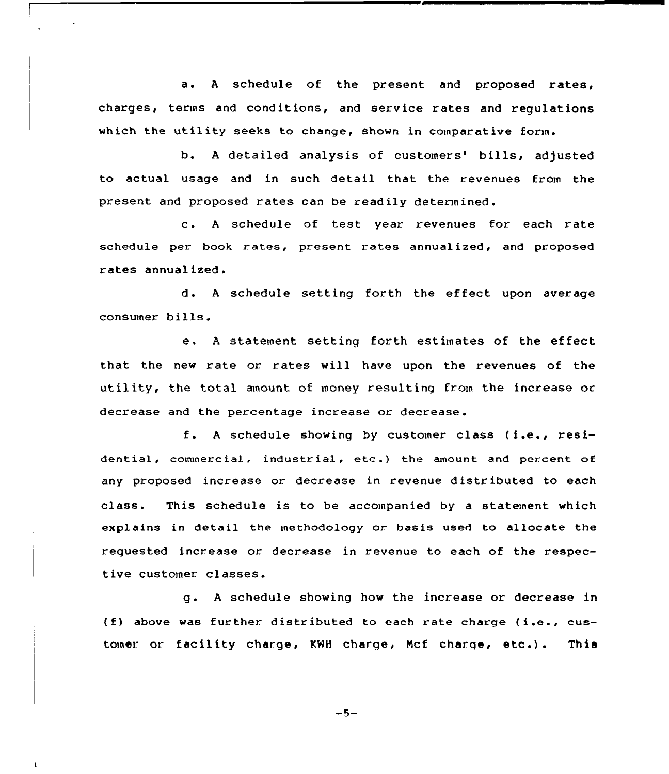a. <sup>A</sup> schedule of the present and proposed rates, charges, terms and conditions, and service rates and regulations which the utility seeks to change, shown in comparative form.

b. A detailed analysis of customers' bills, adjusted to actual usage and in such detail that the revenues from the present and proposed rates can be readily determined.

c. <sup>A</sup> schedule of test year. revenues for each rate schedule per book rates, present rates annualized, and proposed rates annualized.

d. A schedule setting forth the effect upon average consumer bills.

e, <sup>A</sup> statement setting forth estimates of the effect that the new rate or rates will have upon the revenues of the utility, the total amount of money resulting from the increase or decrease and the percentage increase or decrease

f. <sup>A</sup> schedule showing by customer class ( i.e., residential, commercial, industrial, etc.) the amount and percent of any proposed increase or decrease in revenue distr ibuted to each class. This schedule is to be accompanied by <sup>a</sup> statement which explains in detail the methodology or basis used to allocate the requested increase or decrease in revenue to each of the respective customer classes.

<sup>g</sup> . <sup>A</sup> schedule showing how the increase or decrease in (f) above was further. distributed to each rate charge (i.e., customer or facility charge, KWH charge, Mcf charge, etc.). This

 $-5-$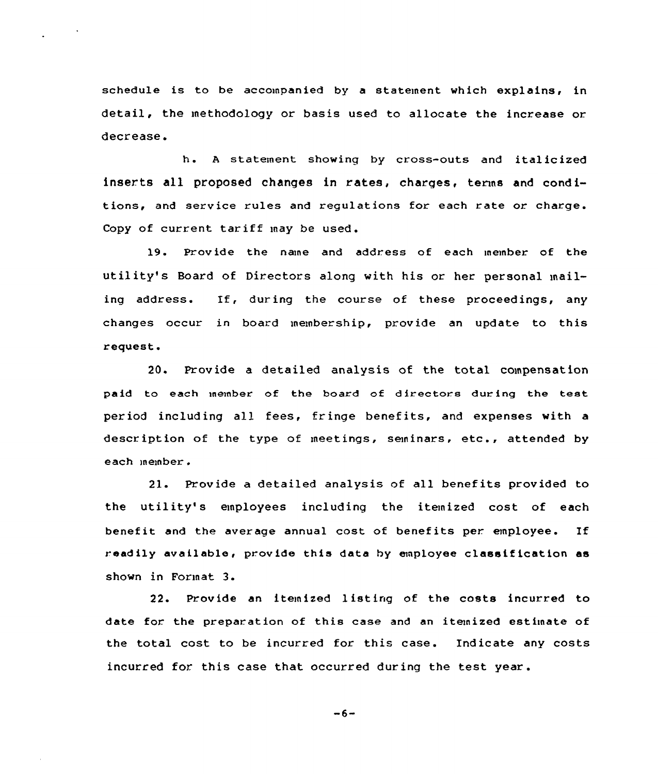schedule is to be accompanied by a statement which explains, in detail, the methodology or basis used to allocate the increase or. decrease.

h. <sup>A</sup> statement showing by cross-outs and italicized inserts all proposed changes in rates, charges, terms and conditions, and service rules and regulations for each rate or charge. Copy of current tariff may be used.

19. Provide the name and address of each member of the utility's Board of Directors along with his or her personal mailing address. If, during the course of these proceedings, any changes occur in board membership, provide an update to this request.

20. Provide a detailed analysis of the total compensation paid to each member of the board of directors during the test period including all fees, fringe benefits, and expenses with a description of the type of meetings, seminars, etc., attended by each member .

21. Provide a detailed analysis of all benefits provided to the utility's employees including the itemized cost of each benefit and the average annual cost of benefits per employee. If readily available, provide this data by employee classif ication as shown in Format 3.

22. Provide an itemized listing of the costs incurred to date for the preparation of this case and an itemized estimate of the total cost to be incurred for this case. Indicate any costs incurred for this case that occurred during the test year .

 $-6-$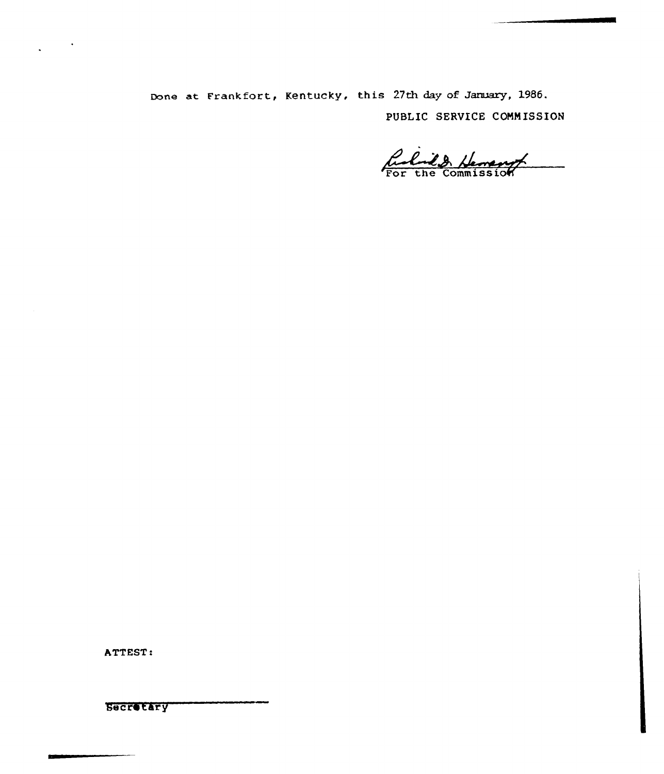Done at Frankfort, Kentucky, this 27th day of January, 1986. PUBLIC SERVICE CONNISSION

Rubrick Hemang

ATTEST:

**Secretary**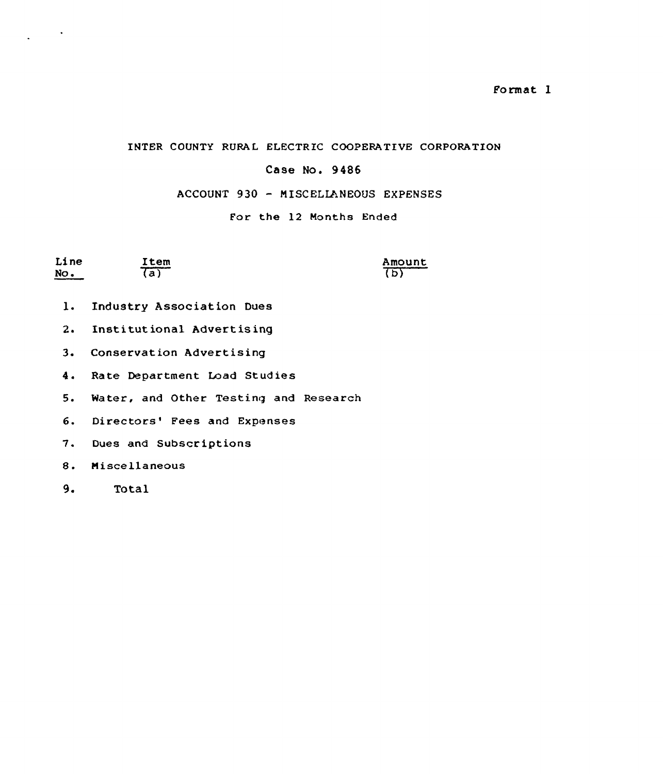Format 1

### INTER COUNTY RURAL ELECTRIC COOPERATIVE CORPORATION

## Case No. 9486

# ACCOUNT 930 - MISCELLANEOUS EXPENSES

### For the 12 Months Ended

| Line | Item | Amount |
|------|------|--------|
| No.  | 7a   | (b)    |

- 1. Industry Association Dues
- 2. Institutional Advertising
- 3. Conservation Advertising
- 4. Rate Department Load Studies
- 5. Water, and Other Testing and Research
- 6. Directors' Fees and Expenses
- 7. Dues and Subscriptions
- 8. Miscellaneous
- $9.$ Total

 $\ddot{\phantom{a}}$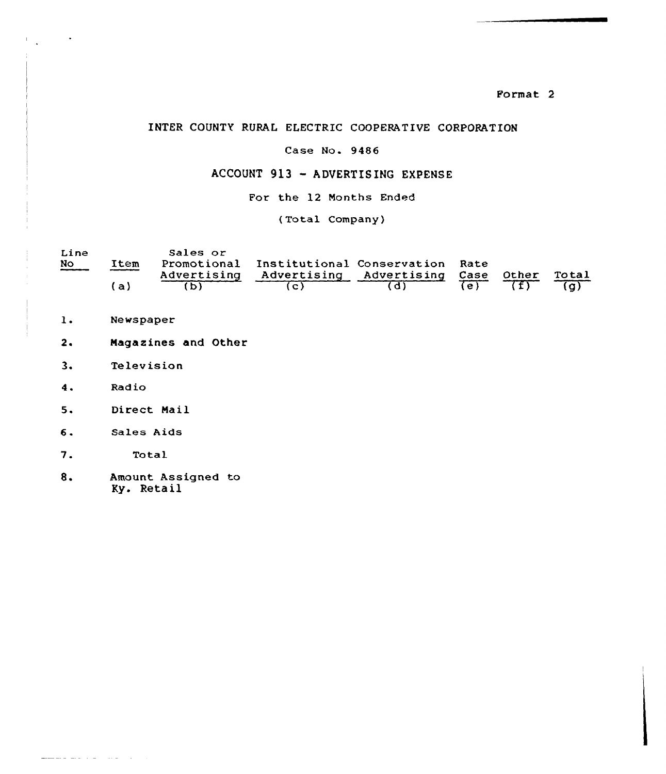Format 2

## INTER COUNTY RURAL ELECTRIC COOPERATIVE CORPORATION

# Case No. 9486

### ACCOUNT 913 —ADVERTISING EXPENSE

For the 12 Months Ended

(Total Company)

| Line<br>No | Item   | Sales or    | Promotional Institutional Conservation Rate |  |       |       |
|------------|--------|-------------|---------------------------------------------|--|-------|-------|
|            | $'$ a) | Advertising | Advertising Advertising Case                |  | Other | Total |

- $1.$ Newspaper
- $2.$ Magazines and Other
- 3. Telev ision
- 4. Radio

 $\sim$ 

- 5. Direct Mail
- Sales Aids 6.
- 7. Total

 $\frac{1}{\sqrt{2}}\left( \frac{1}{\sqrt{2}}\right) \frac{1}{\sqrt{2}}\left( \frac{1}{\sqrt{2}}\right) \frac{1}{\sqrt{2}}\left( \frac{1}{\sqrt{2}}\right) \frac{1}{\sqrt{2}}\left( \frac{1}{\sqrt{2}}\right) \frac{1}{\sqrt{2}}\left( \frac{1}{\sqrt{2}}\right) \frac{1}{\sqrt{2}}\left( \frac{1}{\sqrt{2}}\right) \frac{1}{\sqrt{2}}\left( \frac{1}{\sqrt{2}}\right) \frac{1}{\sqrt{2}}\left( \frac{1}{\sqrt{2}}\right) \frac{1}{\sqrt{2}}\left$ 

&. Amount Assigned to Ky. Retail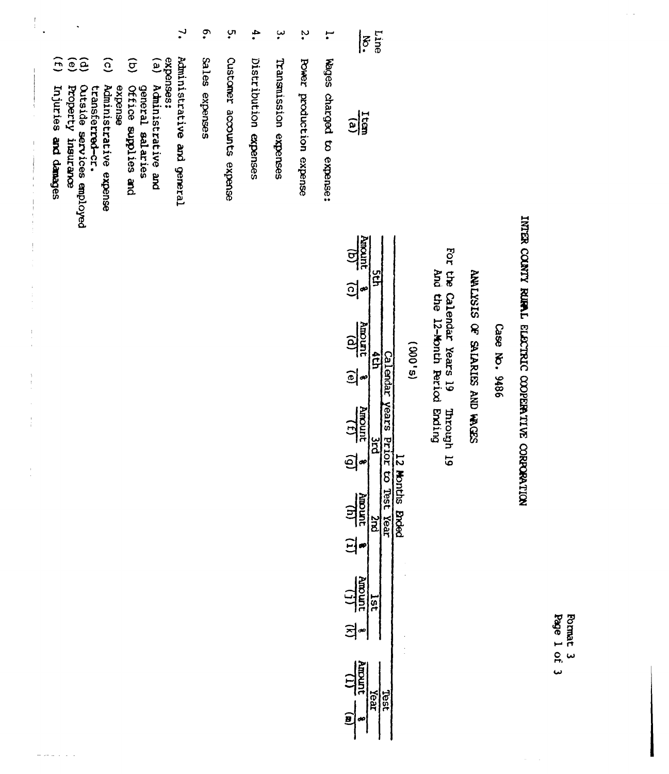| use:<br><b>Rundit</b><br>Mundit<br>For the Calendar Years 19<br>And the 12-Month Period Ending<br>ğ<br>ANLISES OF SALARIES AND WASSS<br><u>ခ</u> ျိ⇔<br>Moont<br>$Case$ No. $9486$<br>$\frac{1}{2}$<br>(5,000)<br>ţp<br>Calendar<br>$\boxed{\bigcirc}$<br>Years<br><b>Amount</b><br>Through 19<br>$\frac{1}{2}$<br>Prior to Test Year<br>ă<br>$\mathfrak{g}$<br>12 Months<br>$\frac{10}{240000}$<br><b>Ended</b><br>ă<br>듸 |
|----------------------------------------------------------------------------------------------------------------------------------------------------------------------------------------------------------------------------------------------------------------------------------------------------------------------------------------------------------------------------------------------------------------------------|
|----------------------------------------------------------------------------------------------------------------------------------------------------------------------------------------------------------------------------------------------------------------------------------------------------------------------------------------------------------------------------------------------------------------------------|

 $\frac{1}{\sqrt{11}}$ lst

 $\Xi$ 

 $\frac{\hbar m \omega m t}{\hbar}$  (a) Year Test ś

Format 3<br>Page 1 of 3

| $\overline{\mathcal{E}}$ |
|--------------------------|
|                          |
| $\frac{1}{2}$            |
|                          |

bed to expen

 $\ddot{\cdot}$ **Power** production expen

ىب Transmission expenses

 $\ddot{\phantom{a}}$ Distribution expenses

**ب** Customer accounts expe

 $\ddot{\bullet}$ Sales expenses

 $\mathbf{L}$ expenses: Administrative and gen

(a) Administrative an general salaries

 $\widehat{\sigma}$ Office supplies a

 $\widehat{c}$ expense<br>Administrative expense

transferred-cr.

 $\widehat{e}$ Outside services employed<br>Property insurance

 $\hat{H}$ 

 $\frac{1}{4}$  .

Injuries and danages

 $\begin{array}{c} \frac{1}{2} & \frac{1}{2} \\ \frac{1}{2} & \frac{1}{2} \\ \frac{1}{2} & \frac{1}{2} \end{array}$ 

 $\begin{array}{c} 1 \\ 1 \\ 2 \\ 3 \\ 4 \end{array}$ 

 $\frac{1}{2}$ 

 $\frac{1}{\alpha}$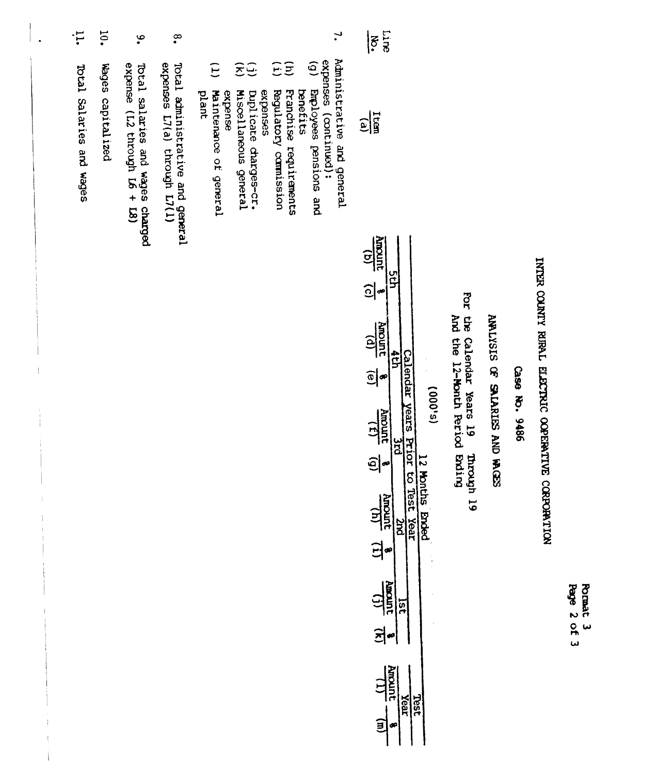| $\ddot{\vec{r}}$         | $\overline{5}$    | $\ddot{\bullet}$                                                         | $\tilde{\mathbf{e}}$                                             | 7,                                                                                                                                                                                                                                                                                                          | Line<br>¦ह<br>∙                                                                                                                                                                                                                                                                                     |
|--------------------------|-------------------|--------------------------------------------------------------------------|------------------------------------------------------------------|-------------------------------------------------------------------------------------------------------------------------------------------------------------------------------------------------------------------------------------------------------------------------------------------------------------|-----------------------------------------------------------------------------------------------------------------------------------------------------------------------------------------------------------------------------------------------------------------------------------------------------|
| Total Salaries and Wages | Wages capitalized | Total salaries and wages charged expense $(L2 \text{ through } L6 + L8)$ | expenses L7(a) through L7(1)<br>Total administrative and general | Administrative and general<br>expenses (continued):<br>(g) Employees pensions and<br>$\widehat{E}$<br>Ξ<br>Ξ<br>Ξ<br>$\Xi$<br>Maintenance of general<br>Regulatory comission<br>Franchise requirements<br><b>benefits</b><br>expense<br>Miscellaneous general<br>expenses<br>plant<br>Duplicate charges-cr. | $\frac{1}{2}$                                                                                                                                                                                                                                                                                       |
|                          |                   |                                                                          |                                                                  |                                                                                                                                                                                                                                                                                                             | Amount<br>$\widehat{\mathbf{e}}$<br>u<br>S<br>$\frac{1}{2}$<br>Amount<br>$\frac{1}{2}$<br>4th<br>Calendar years Prior to Test<br>$\frac{1}{2}$<br>æ<br>(s,000)<br>$\frac{151}{100000}$<br>ں<br>25<br>$\frac{1}{2}$<br>12 Months Ended<br>$\frac{(1)}{2400000}$<br>Year<br><b>DAC</b><br>.<br>리<br>œ |

 $\ddot{\phantom{0}}$ 

**Romat 3**<br>Rage 2 of 3

INTER COUNTY RURAL ELECTRIC OOPERATIVE CORPORATION

Case No. 9486

ANLYSIS OF SALARIES AND WOES

For the Calendar Years 19 Through 19 and the 12-Month Feriod Ending

 $\frac{1}{\sqrt{10000}}$ 

 $\exists \bullet$ 

Near Rear

Test

 $\frac{1}{3}$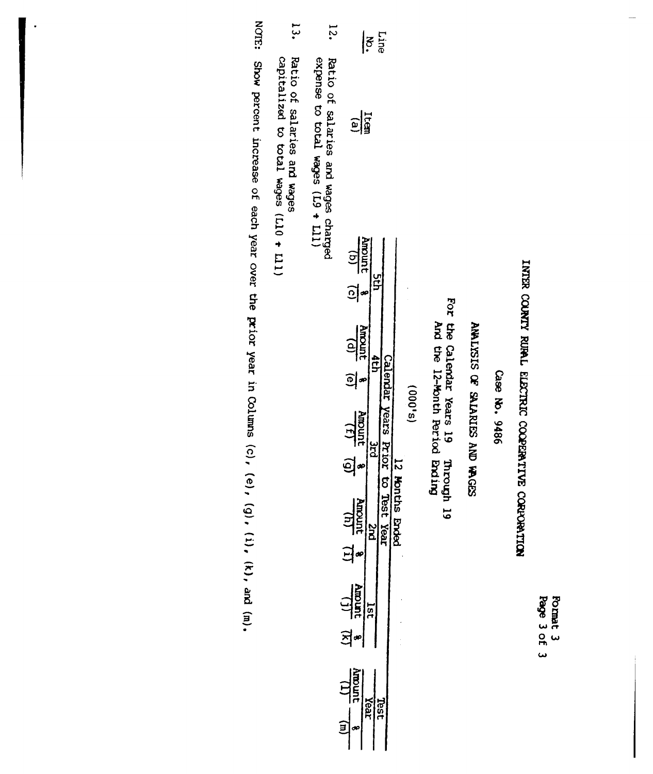| <b>Page</b><br>لما | F<br>旨<br>٠ |
|--------------------|-------------|
| ο<br>m             | سا          |
| سه                 |             |

# INTER COUNTY RUPAL ELECTRIC COOPERATIVE CORPORATION

Case No. 9486

# ANALISIS OF SALARIES AND WAGES

For the Calendar Years 19 Through 19<br>And the 12-Month Period Bnding

| $\ddot{2}$                          | $\left \frac{1}{2}\right $                                                                                                                                                                                                    |
|-------------------------------------|-------------------------------------------------------------------------------------------------------------------------------------------------------------------------------------------------------------------------------|
| Ratio of salaries and wages charged | $\frac{1}{\log n}$                                                                                                                                                                                                            |
|                                     | $\frac{4 \text{mount}}{10}$ (c)<br>ដ្                                                                                                                                                                                         |
|                                     | Amount<br>calendar v<br>$\tilde{e}$<br><b>S,000</b><br>Vears<br>$\frac{4}{(t)}$ $\frac{4}{(t)}$<br>į<br>ī<br>ğ<br>ဌာ<br>ີ່<br>ຈີ<br>$\frac{4m\omega_{\text{m}}}{\sqrt{\ln n}}$<br><b>Endex</b><br><b>Yeal</b><br>n<br>B<br>ส∞ |
|                                     | $\frac{\Delta \text{max}}{\left( \frac{1}{2} \right)}$<br>5<br>.<br>∄≁                                                                                                                                                        |
|                                     | umoon<br>rea;                                                                                                                                                                                                                 |

 $13.$ Ratio of salaries and wages<br>capitalized to total wages  $(L10 + L11)$  $\frac{1}{2}$  (III +  $\frac{67}{2}$ ) seben prod a crossedxe

NOTE: Show percent increase of each year over the prior year in Columns (c), (e), (g), (i), (k), and (m).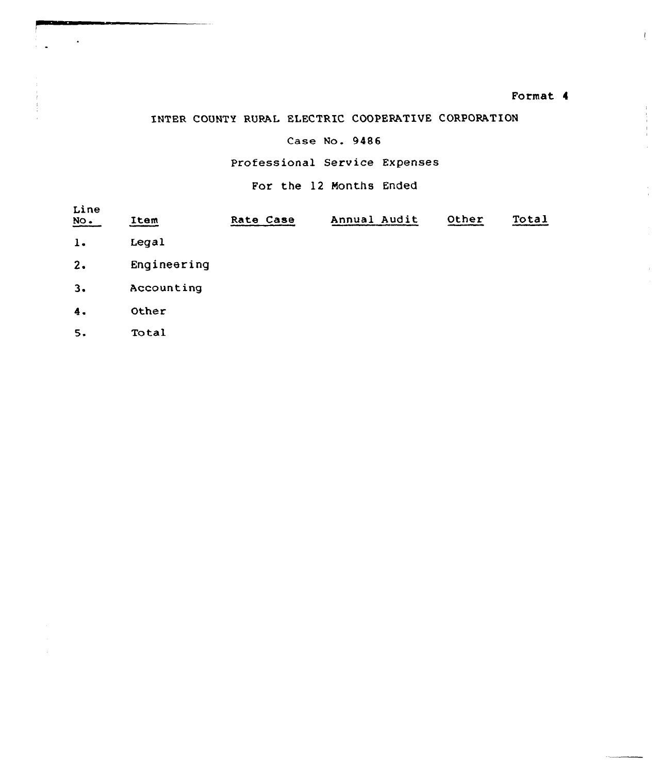### Format 4

 $\mathbf{r}$ 

 $\begin{array}{c} 1 \\ 1 \\ 1 \\ 1 \\ 1 \end{array}$ 

 $\bar{z}$ 

# INTER COUNTY RURAL ELECTRIC COOPERATIUE CORPORATION

### Case No. 9486

# Professional Service Expenses

For the 12 Months Ended

| Line<br>$\underline{\text{NO}}$ . | Item        | Rate Case | Annual Audit | Other | Total |
|-----------------------------------|-------------|-----------|--------------|-------|-------|
| $\mathbf{1}$ .                    | Legal       |           |              |       |       |
| 2.                                | Engineering |           |              |       |       |
| 3.                                | Accounting  |           |              |       |       |
| $\ddot{4}$ .                      | Other       |           |              |       |       |
| 5.                                | Total       |           |              |       |       |